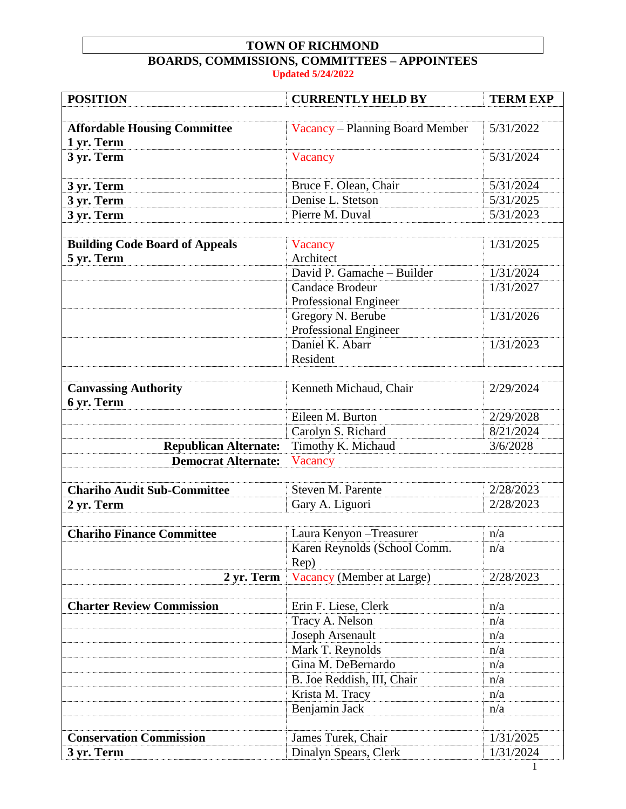## **TOWN OF RICHMOND BOARDS, COMMISSIONS, COMMITTEES – APPOINTEES**

**Updated 5/24/2022**

| <b>POSITION</b>                                   | <b>CURRENTLY HELD BY</b>             | <b>TERM EXP</b> |
|---------------------------------------------------|--------------------------------------|-----------------|
|                                                   |                                      |                 |
| <b>Affordable Housing Committee</b><br>1 yr. Term | Vacancy - Planning Board Member      | 5/31/2022       |
| 3 yr. Term                                        | Vacancy                              | 5/31/2024       |
| 3 yr. Term                                        | Bruce F. Olean, Chair                | 5/31/2024       |
| 3 yr. Term                                        | Denise L. Stetson                    | 5/31/2025       |
| 3 yr. Term                                        | Pierre M. Duval                      | 5/31/2023       |
|                                                   |                                      |                 |
| <b>Building Code Board of Appeals</b>             | Vacancy                              | 1/31/2025       |
| 5 yr. Term                                        | Architect                            |                 |
|                                                   | David P. Gamache - Builder           | 1/31/2024       |
|                                                   | <b>Candace Brodeur</b>               | 1/31/2027       |
|                                                   | Professional Engineer                |                 |
|                                                   | Gregory N. Berube                    | 1/31/2026       |
|                                                   | Professional Engineer                |                 |
|                                                   | Daniel K. Abarr                      | 1/31/2023       |
|                                                   | Resident                             |                 |
| <b>Canvassing Authority</b>                       | Kenneth Michaud, Chair               | 2/29/2024       |
| 6 yr. Term                                        |                                      |                 |
|                                                   | Eileen M. Burton                     | 2/29/2028       |
|                                                   | Carolyn S. Richard                   | 8/21/2024       |
| <b>Republican Alternate:</b>                      | Timothy K. Michaud                   | 3/6/2028        |
| <b>Democrat Alternate:</b>                        | Vacancy                              |                 |
|                                                   |                                      |                 |
| <b>Chariho Audit Sub-Committee</b>                | Steven M. Parente                    | 2/28/2023       |
| 2 yr. Term                                        | Gary A. Liguori                      | 2/28/2023       |
|                                                   |                                      |                 |
| <b>Chariho Finance Committee</b>                  | Laura Kenyon - Treasurer             | n/a             |
|                                                   | Karen Reynolds (School Comm.<br>Rep) | n/a             |
| 2 yr. Term                                        | Vacancy (Member at Large)            | 2/28/2023       |
|                                                   |                                      |                 |
| <b>Charter Review Commission</b>                  | Erin F. Liese, Clerk                 | n/a             |
|                                                   | Tracy A. Nelson                      | n/a             |
|                                                   | Joseph Arsenault                     | n/a             |
|                                                   | Mark T. Reynolds                     | n/a             |
|                                                   | Gina M. DeBernardo                   | n/a             |
|                                                   | B. Joe Reddish, III, Chair           | n/a             |
|                                                   | Krista M. Tracy                      | n/a             |
|                                                   | Benjamin Jack                        | n/a             |
|                                                   |                                      |                 |
| <b>Conservation Commission</b>                    | James Turek, Chair                   | 1/31/2025       |
| 3 yr. Term                                        | Dinalyn Spears, Clerk                | 1/31/2024       |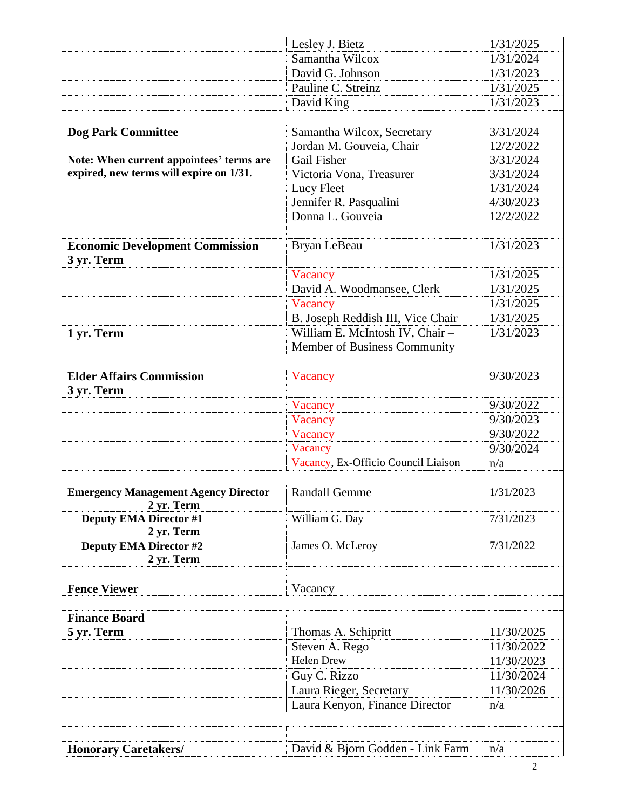|                                             | Lesley J. Bietz                     | 1/31/2025  |
|---------------------------------------------|-------------------------------------|------------|
|                                             | Samantha Wilcox                     | 1/31/2024  |
|                                             | David G. Johnson                    | 1/31/2023  |
|                                             | Pauline C. Streinz                  | 1/31/2025  |
|                                             | David King                          | 1/31/2023  |
|                                             |                                     |            |
| <b>Dog Park Committee</b>                   | Samantha Wilcox, Secretary          | 3/31/2024  |
|                                             | Jordan M. Gouveia, Chair            | 12/2/2022  |
| Note: When current appointees' terms are    | <b>Gail Fisher</b>                  | 3/31/2024  |
| expired, new terms will expire on 1/31.     | Victoria Vona, Treasurer            | 3/31/2024  |
|                                             | Lucy Fleet                          | 1/31/2024  |
|                                             | Jennifer R. Pasqualini              | 4/30/2023  |
|                                             | Donna L. Gouveia                    | 12/2/2022  |
|                                             |                                     |            |
| <b>Economic Development Commission</b>      | Bryan LeBeau                        | 1/31/2023  |
| 3 yr. Term                                  |                                     |            |
|                                             | Vacancy                             | 1/31/2025  |
|                                             | David A. Woodmansee, Clerk          | 1/31/2025  |
|                                             | Vacancy                             | 1/31/2025  |
|                                             | B. Joseph Reddish III, Vice Chair   | 1/31/2025  |
|                                             | William E. McIntosh IV, Chair-      | 1/31/2023  |
| 1 yr. Term                                  | Member of Business Community        |            |
|                                             |                                     |            |
| <b>Elder Affairs Commission</b>             | Vacancy                             | 9/30/2023  |
| 3 yr. Term                                  |                                     |            |
|                                             | Vacancy                             | 9/30/2022  |
|                                             | Vacancy                             | 9/30/2023  |
|                                             | Vacancy                             | 9/30/2022  |
|                                             | Vacancy                             | 9/30/2024  |
|                                             | Vacancy, Ex-Officio Council Liaison | n/a        |
|                                             |                                     |            |
| <b>Emergency Management Agency Director</b> | <b>Randall Gemme</b>                | 1/31/2023  |
| 2 yr. Term                                  |                                     |            |
| <b>Deputy EMA Director #1</b>               | William G. Day                      | 7/31/2023  |
| 2 yr. Term                                  |                                     |            |
| <b>Deputy EMA Director #2</b>               | James O. McLeroy                    | 7/31/2022  |
| 2 yr. Term                                  |                                     |            |
|                                             |                                     |            |
| <b>Fence Viewer</b>                         | Vacancy                             |            |
|                                             |                                     |            |
| <b>Finance Board</b>                        |                                     |            |
| 5 yr. Term                                  | Thomas A. Schipritt                 | 11/30/2025 |
|                                             | Steven A. Rego                      | 11/30/2022 |
|                                             | <b>Helen Drew</b>                   | 11/30/2023 |
|                                             | Guy C. Rizzo                        | 11/30/2024 |
|                                             | Laura Rieger, Secretary             | 11/30/2026 |
|                                             | Laura Kenyon, Finance Director      | n/a        |
|                                             |                                     |            |
|                                             |                                     |            |
| <b>Honorary Caretakers/</b>                 | David & Bjorn Godden - Link Farm    | n/a        |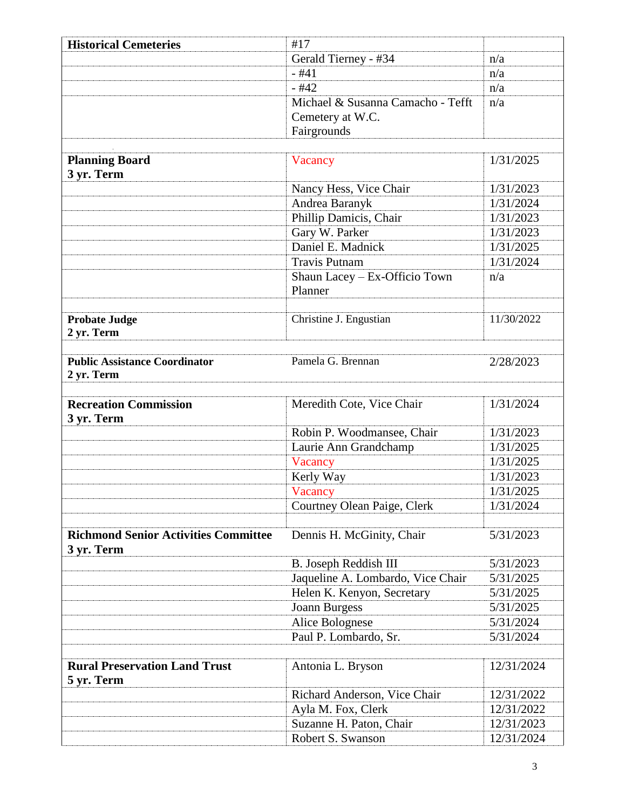| <b>Historical Cemeteries</b>                              | #17                               |            |
|-----------------------------------------------------------|-----------------------------------|------------|
|                                                           | Gerald Tierney - #34              | n/a        |
|                                                           | $-#41$                            | n/a        |
|                                                           | $-#42$                            | n/a        |
|                                                           | Michael & Susanna Camacho - Tefft | n/a        |
|                                                           | Cemetery at W.C.                  |            |
|                                                           | Fairgrounds                       |            |
|                                                           |                                   |            |
| <b>Planning Board</b><br>3 yr. Term                       | Vacancy                           | 1/31/2025  |
|                                                           | Nancy Hess, Vice Chair            | 1/31/2023  |
|                                                           | Andrea Baranyk                    | 1/31/2024  |
|                                                           | Phillip Damicis, Chair            | 1/31/2023  |
|                                                           | Gary W. Parker                    | 1/31/2023  |
|                                                           | Daniel E. Madnick                 | 1/31/2025  |
|                                                           | <b>Travis Putnam</b>              | 1/31/2024  |
|                                                           | Shaun Lacey - Ex-Officio Town     | n/a        |
|                                                           | Planner                           |            |
|                                                           |                                   |            |
| <b>Probate Judge</b><br>2 yr. Term                        | Christine J. Engustian            | 11/30/2022 |
|                                                           |                                   |            |
| <b>Public Assistance Coordinator</b><br>2 yr. Term        | Pamela G. Brennan                 | 2/28/2023  |
|                                                           |                                   |            |
| <b>Recreation Commission</b><br>3 yr. Term                | Meredith Cote, Vice Chair         | 1/31/2024  |
|                                                           | Robin P. Woodmansee, Chair        | 1/31/2023  |
|                                                           | Laurie Ann Grandchamp             | 1/31/2025  |
|                                                           | Vacancy                           | 1/31/2025  |
|                                                           | Kerly Way                         | 1/31/2023  |
|                                                           | Vacancy                           | 1/31/2025  |
|                                                           | Courtney Olean Paige, Clerk       | 1/31/2024  |
|                                                           |                                   |            |
| <b>Richmond Senior Activities Committee</b><br>3 yr. Term | Dennis H. McGinity, Chair         | 5/31/2023  |
|                                                           | B. Joseph Reddish III             | 5/31/2023  |
|                                                           | Jaqueline A. Lombardo, Vice Chair | 5/31/2025  |
|                                                           | Helen K. Kenyon, Secretary        | 5/31/2025  |
|                                                           | <b>Joann Burgess</b>              | 5/31/2025  |
|                                                           | Alice Bolognese                   | 5/31/2024  |
|                                                           | Paul P. Lombardo, Sr.             | 5/31/2024  |
|                                                           |                                   |            |
| <b>Rural Preservation Land Trust</b><br>5 yr. Term        | Antonia L. Bryson                 | 12/31/2024 |
|                                                           | Richard Anderson, Vice Chair      | 12/31/2022 |
|                                                           | Ayla M. Fox, Clerk                | 12/31/2022 |
|                                                           | Suzanne H. Paton, Chair           | 12/31/2023 |
|                                                           | Robert S. Swanson                 | 12/31/2024 |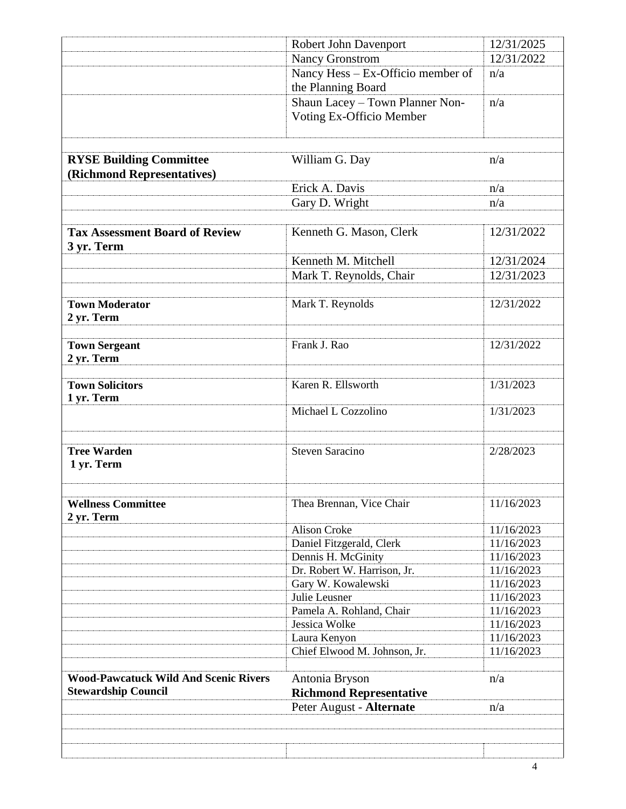|                                                                            | Robert John Davenport                                       | 12/31/2025 |
|----------------------------------------------------------------------------|-------------------------------------------------------------|------------|
|                                                                            | <b>Nancy Gronstrom</b>                                      | 12/31/2022 |
|                                                                            | Nancy Hess - Ex-Officio member of<br>the Planning Board     | n/a        |
|                                                                            | Shaun Lacey - Town Planner Non-<br>Voting Ex-Officio Member | n/a        |
| <b>RYSE Building Committee</b>                                             | William G. Day                                              | n/a        |
| (Richmond Representatives)                                                 |                                                             |            |
|                                                                            | Erick A. Davis                                              | n/a        |
|                                                                            | Gary D. Wright                                              | n/a        |
|                                                                            |                                                             |            |
| <b>Tax Assessment Board of Review</b><br>3 yr. Term                        | Kenneth G. Mason, Clerk                                     | 12/31/2022 |
|                                                                            | Kenneth M. Mitchell                                         | 12/31/2024 |
|                                                                            | Mark T. Reynolds, Chair                                     | 12/31/2023 |
|                                                                            |                                                             |            |
| <b>Town Moderator</b><br>2 yr. Term                                        | Mark T. Reynolds                                            | 12/31/2022 |
| <b>Town Sergeant</b><br>2 yr. Term                                         | Frank J. Rao                                                | 12/31/2022 |
| <b>Town Solicitors</b>                                                     | Karen R. Ellsworth                                          | 1/31/2023  |
| 1 yr. Term                                                                 |                                                             |            |
|                                                                            | Michael L Cozzolino                                         | 1/31/2023  |
| <b>Tree Warden</b><br>1 yr. Term                                           | <b>Steven Saracino</b>                                      | 2/28/2023  |
| <b>Wellness Committee</b>                                                  | Thea Brennan, Vice Chair                                    | 11/16/2023 |
| 2 yr. Term                                                                 | <b>Alison Croke</b>                                         | 11/16/2023 |
|                                                                            | Daniel Fitzgerald, Clerk                                    | 11/16/2023 |
|                                                                            | Dennis H. McGinity                                          | 11/16/2023 |
|                                                                            | Dr. Robert W. Harrison, Jr.                                 | 11/16/2023 |
|                                                                            | Gary W. Kowalewski                                          | 11/16/2023 |
|                                                                            | Julie Leusner                                               | 11/16/2023 |
|                                                                            | Pamela A. Rohland, Chair                                    | 11/16/2023 |
|                                                                            | Jessica Wolke                                               | 11/16/2023 |
|                                                                            | Laura Kenyon                                                | 11/16/2023 |
|                                                                            | Chief Elwood M. Johnson, Jr.                                | 11/16/2023 |
|                                                                            |                                                             |            |
| <b>Wood-Pawcatuck Wild And Scenic Rivers</b><br><b>Stewardship Council</b> | Antonia Bryson<br><b>Richmond Representative</b>            | n/a        |
|                                                                            | Peter August - Alternate                                    | n/a        |
|                                                                            |                                                             |            |
|                                                                            |                                                             | 4          |